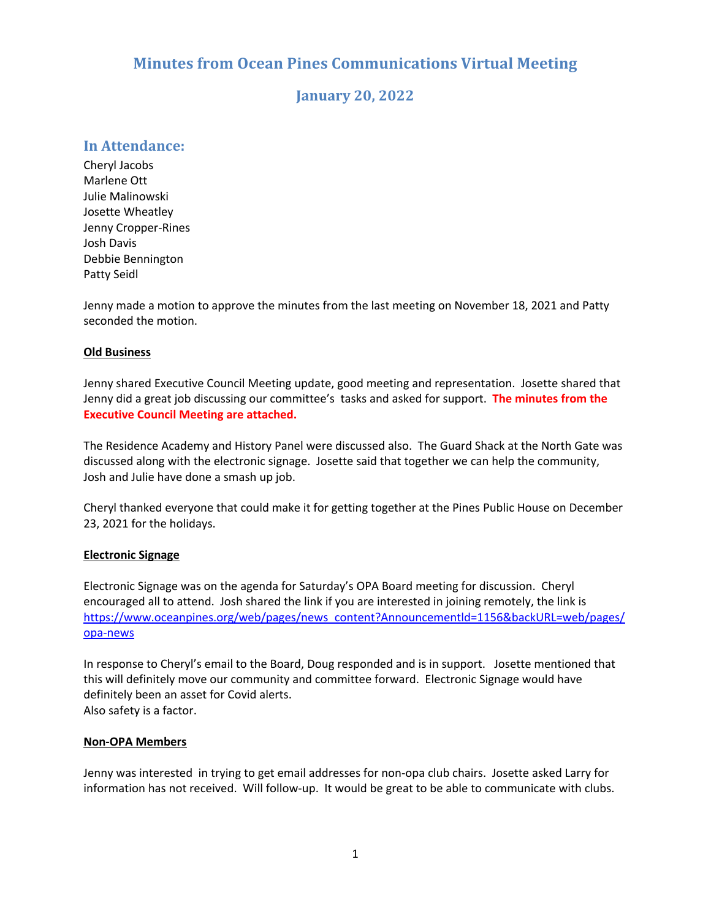# **Minutes from Ocean Pines Communications Virtual Meeting**

# **January 20, 2022**

# **In Attendance:**

Cheryl Jacobs Marlene Ott Julie Malinowski Josette Wheatley Jenny Cropper-Rines Josh Davis Debbie Bennington Patty Seidl

Jenny made a motion to approve the minutes from the last meeting on November 18, 2021 and Patty seconded the motion.

## **Old Business**

Jenny shared Executive Council Meeting update, good meeting and representation. Josette shared that Jenny did a great job discussing our committee's tasks and asked for support. **The minutes from the Executive Council Meeting are attached.**

The Residence Academy and History Panel were discussed also. The Guard Shack at the North Gate was discussed along with the electronic signage. Josette said that together we can help the community, Josh and Julie have done a smash up job.

Cheryl thanked everyone that could make it for getting together at the Pines Public House on December 23, 2021 for the holidays.

## **Electronic Signage**

Electronic Signage was on the agenda for Saturday's OPA Board meeting for discussion. Cheryl encouraged all to attend. Josh shared the link if you are interested in joining remotely, the link is https://www.oceanpines.org/web/pages/news\_content?Announcementld=1156&backURL=web/pages/ opa-news

In response to Cheryl's email to the Board, Doug responded and is in support. Josette mentioned that this will definitely move our community and committee forward. Electronic Signage would have definitely been an asset for Covid alerts. Also safety is a factor.

## **Non-OPA Members**

Jenny was interested in trying to get email addresses for non-opa club chairs. Josette asked Larry for information has not received. Will follow-up. It would be great to be able to communicate with clubs.